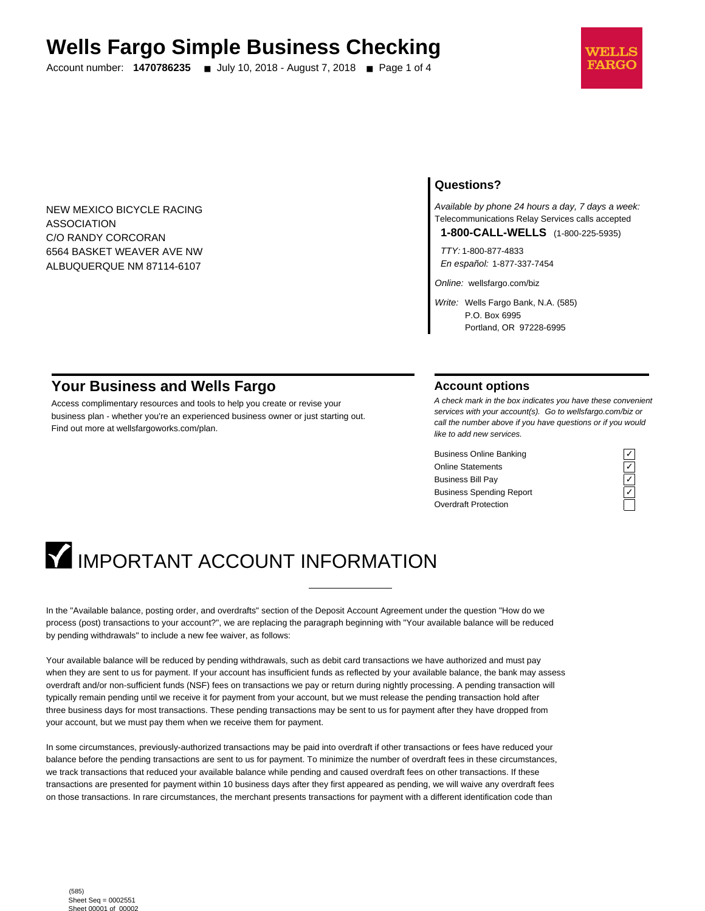# **Wells Fargo Simple Business Checking**

Account number: **1470786235** ■ July 10, 2018 - August 7, 2018 ■ Page 1 of 4



NEW MEXICO BICYCLE RACING ASSOCIATION C/O RANDY CORCORAN 6564 BASKET WEAVER AVE NW ALBUQUERQUE NM 87114-6107

### **Questions?**

Available by phone 24 hours a day, 7 days a week: Telecommunications Relay Services calls accepted

**1-800-CALL-WELLS** (1-800-225-5935)

TTY: 1-800-877-4833 En español: 1-877-337-7454

Online: wellsfargo.com/biz

Write: Wells Fargo Bank, N.A. (585) P.O. Box 6995 Portland, OR 97228-6995

# **Your Business and Wells Fargo**

Access complimentary resources and tools to help you create or revise your business plan - whether you're an experienced business owner or just starting out. Find out more at wellsfargoworks.com/plan.

#### **Account options**

A check mark in the box indicates you have these convenient services with your account(s). Go to wellsfargo.com/biz or call the number above if you have questions or if you would like to add new services.

Business Online Banking<br>
Online Statements<br>
Business Bill Pay<br>
Business Spending Report<br>
Cygridder Protection<br>
Cygridder Protection Online Statements ✓ Business Bill Pay Business Spending Report Overdraft Protection



# **IMPORTANT ACCOUNT INFORMATION**

In the "Available balance, posting order, and overdrafts" section of the Deposit Account Agreement under the question "How do we process (post) transactions to your account?", we are replacing the paragraph beginning with "Your available balance will be reduced by pending withdrawals" to include a new fee waiver, as follows:

Your available balance will be reduced by pending withdrawals, such as debit card transactions we have authorized and must pay when they are sent to us for payment. If your account has insufficient funds as reflected by your available balance, the bank may assess overdraft and/or non-sufficient funds (NSF) fees on transactions we pay or return during nightly processing. A pending transaction will typically remain pending until we receive it for payment from your account, but we must release the pending transaction hold after three business days for most transactions. These pending transactions may be sent to us for payment after they have dropped from your account, but we must pay them when we receive them for payment.

In some circumstances, previously-authorized transactions may be paid into overdraft if other transactions or fees have reduced your balance before the pending transactions are sent to us for payment. To minimize the number of overdraft fees in these circumstances, we track transactions that reduced your available balance while pending and caused overdraft fees on other transactions. If these transactions are presented for payment within 10 business days after they first appeared as pending, we will waive any overdraft fees on those transactions. In rare circumstances, the merchant presents transactions for payment with a different identification code than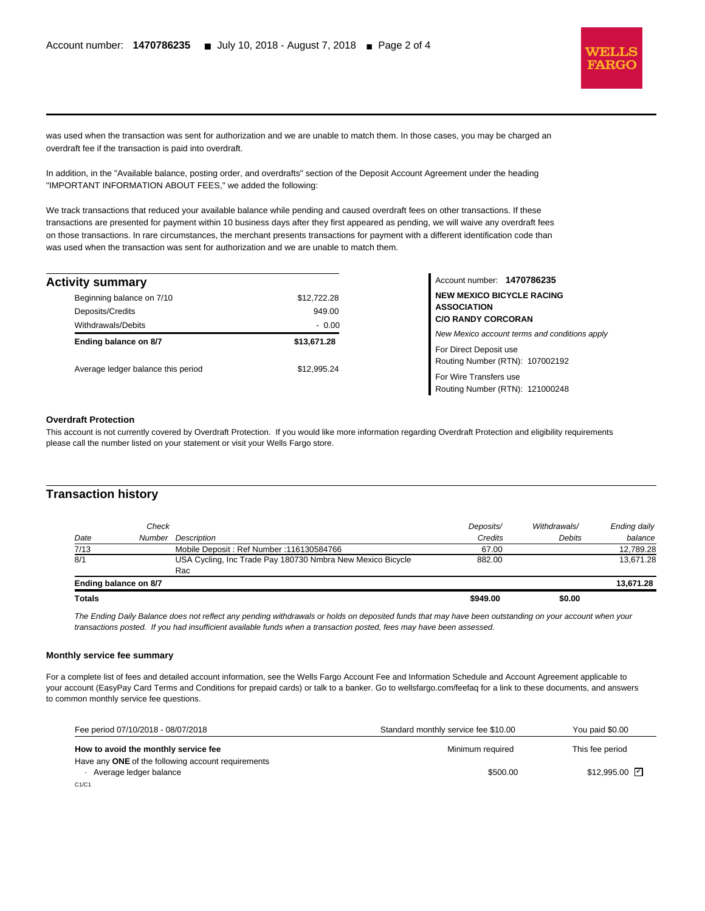

was used when the transaction was sent for authorization and we are unable to match them. In those cases, you may be charged an overdraft fee if the transaction is paid into overdraft.

In addition, in the "Available balance, posting order, and overdrafts" section of the Deposit Account Agreement under the heading "IMPORTANT INFORMATION ABOUT FEES," we added the following:

We track transactions that reduced your available balance while pending and caused overdraft fees on other transactions. If these transactions are presented for payment within 10 business days after they first appeared as pending, we will waive any overdraft fees on those transactions. In rare circumstances, the merchant presents transactions for payment with a different identification code than was used when the transaction was sent for authorization and we are unable to match them.

| Activity summary                   |             |
|------------------------------------|-------------|
| Beginning balance on 7/10          | \$12,722.28 |
| Deposits/Credits                   | 949.00      |
| <b>Withdrawals/Debits</b>          | $-0.00$     |
| Ending balance on 8/7              | \$13,671.28 |
| Average ledger balance this period | \$12.995.24 |

Account number: **1470786235 NEW MEXICO BICYCLE RACING ASSOCIATION C/O RANDY CORCORAN**

New Mexico account terms and conditions apply

For Direct Deposit use Routing Number (RTN): 107002192

For Wire Transfers use Routing Number (RTN): 121000248

#### **Overdraft Protection**

l

This account is not currently covered by Overdraft Protection. If you would like more information regarding Overdraft Protection and eligibility requirements please call the number listed on your statement or visit your Wells Fargo store.

#### **Transaction history**

| <b>Totals</b> |                       |                                                            | \$949.00  | \$0.00       |              |
|---------------|-----------------------|------------------------------------------------------------|-----------|--------------|--------------|
|               | Ending balance on 8/7 |                                                            |           |              | 13.671.28    |
|               |                       | Rac                                                        |           |              |              |
| 8/1           |                       | USA Cycling, Inc Trade Pay 180730 Nmbra New Mexico Bicycle | 882.00    |              | 13.671.28    |
| 7/13          |                       | Mobile Deposit: Ref Number: 116130584766                   | 67.00     |              | 12.789.28    |
| Date          |                       | Number Description                                         | Credits   | Debits       | balance      |
|               | Check                 |                                                            | Deposits/ | Withdrawals/ | Ending daily |
|               |                       |                                                            |           |              |              |

The Ending Daily Balance does not reflect any pending withdrawals or holds on deposited funds that may have been outstanding on your account when your transactions posted. If you had insufficient available funds when a transaction posted, fees may have been assessed.

#### **Monthly service fee summary**

For a complete list of fees and detailed account information, see the Wells Fargo Account Fee and Information Schedule and Account Agreement applicable to your account (EasyPay Card Terms and Conditions for prepaid cards) or talk to a banker. Go to wellsfargo.com/feefaq for a link to these documents, and answers to common monthly service fee questions.

| Fee period 07/10/2018 - 08/07/2018                 | Standard monthly service fee \$10.00 | You paid \$0.00              |
|----------------------------------------------------|--------------------------------------|------------------------------|
| How to avoid the monthly service fee               | Minimum required                     | This fee period              |
| Have any ONE of the following account requirements |                                      |                              |
| Average ledger balance<br>C1/C1                    | \$500.00                             | $$12.995.00$ $\triangledown$ |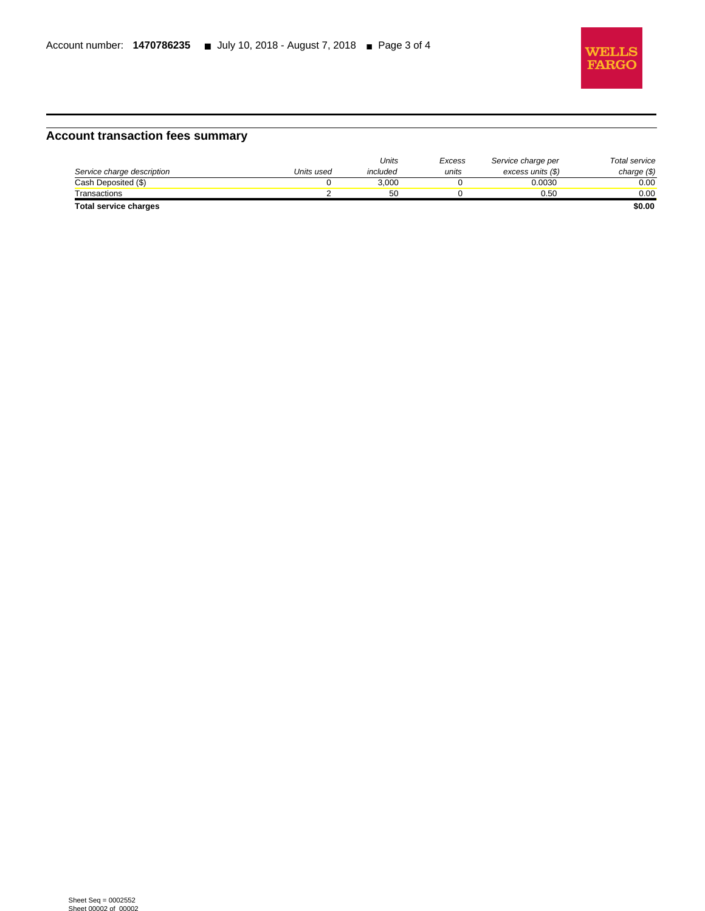

# **Account transaction fees summary**

|                              |            | Units    | Excess | Service charge per | Total service |
|------------------------------|------------|----------|--------|--------------------|---------------|
| Service charge description   | Units used | included | units  | excess units (\$)  | charge $(\$)$ |
| Cash Deposited (\$)          |            | 3.000    |        | 0.0030             | 0.00          |
| Transactions                 |            | 50       |        | 0.50               | 0.00          |
| <b>Total service charges</b> |            |          |        |                    | \$0.00        |

l